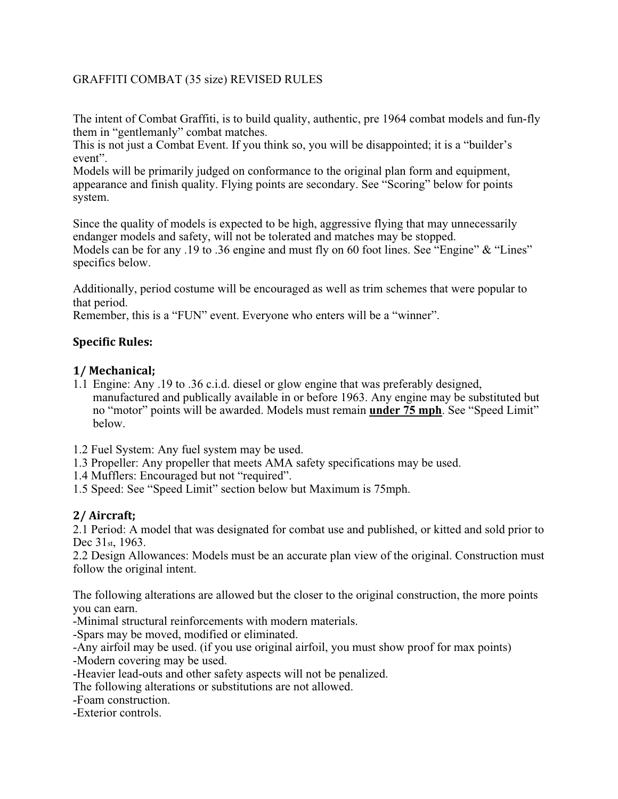## GRAFFITI COMBAT (35 size) REVISED RULES

The intent of Combat Graffiti, is to build quality, authentic, pre 1964 combat models and fun-fly them in "gentlemanly" combat matches.

This is not just a Combat Event. If you think so, you will be disappointed; it is a "builder's event".

Models will be primarily judged on conformance to the original plan form and equipment, appearance and finish quality. Flying points are secondary. See "Scoring" below for points system.

Since the quality of models is expected to be high, aggressive flying that may unnecessarily endanger models and safety, will not be tolerated and matches may be stopped. Models can be for any .19 to .36 engine and must fly on 60 foot lines. See "Engine" & "Lines" specifics below.

Additionally, period costume will be encouraged as well as trim schemes that were popular to that period.

Remember, this is a "FUN" event. Everyone who enters will be a "winner".

### **Specific Rules:**

### **1/'Mechanical;**

- 1.1 Engine: Any .19 to .36 c.i.d. diesel or glow engine that was preferably designed, manufactured and publically available in or before 1963. Any engine may be substituted but no "motor" points will be awarded. Models must remain **under 75 mph**. See "Speed Limit" below.
- 1.2 Fuel System: Any fuel system may be used.
- 1.3 Propeller: Any propeller that meets AMA safety specifications may be used.
- 1.4 Mufflers: Encouraged but not "required".
- 1.5 Speed: See "Speed Limit" section below but Maximum is 75mph.

### **2/'Aircraft;**

2.1 Period: A model that was designated for combat use and published, or kitted and sold prior to Dec 31st, 1963.

2.2 Design Allowances: Models must be an accurate plan view of the original. Construction must follow the original intent.

The following alterations are allowed but the closer to the original construction, the more points you can earn.

-Minimal structural reinforcements with modern materials.

-Spars may be moved, modified or eliminated.

-Any airfoil may be used. (if you use original airfoil, you must show proof for max points)

-Modern covering may be used.

-Heavier lead-outs and other safety aspects will not be penalized.

The following alterations or substitutions are not allowed.

-Foam construction.

-Exterior controls.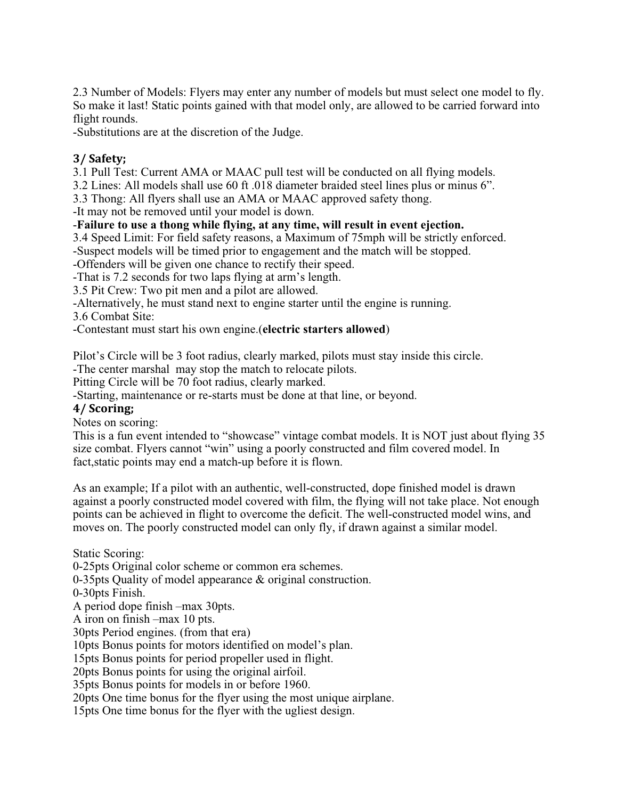2.3 Number of Models: Flyers may enter any number of models but must select one model to fly. So make it last! Static points gained with that model only, are allowed to be carried forward into flight rounds.

-Substitutions are at the discretion of the Judge.

# **3/'Safety;**

3.1 Pull Test: Current AMA or MAAC pull test will be conducted on all flying models.

3.2 Lines: All models shall use 60 ft .018 diameter braided steel lines plus or minus 6".

3.3 Thong: All flyers shall use an AMA or MAAC approved safety thong.

-It may not be removed until your model is down.

## -**Failure to use a thong while flying, at any time, will result in event ejection.**

3.4 Speed Limit: For field safety reasons, a Maximum of 75mph will be strictly enforced.

-Suspect models will be timed prior to engagement and the match will be stopped.

-Offenders will be given one chance to rectify their speed.

-That is 7.2 seconds for two laps flying at arm's length.

3.5 Pit Crew: Two pit men and a pilot are allowed.

-Alternatively, he must stand next to engine starter until the engine is running.

3.6 Combat Site:

-Contestant must start his own engine.(**electric starters allowed**)

Pilot's Circle will be 3 foot radius, clearly marked, pilots must stay inside this circle.

-The center marshal may stop the match to relocate pilots.

Pitting Circle will be 70 foot radius, clearly marked.

-Starting, maintenance or re-starts must be done at that line, or beyond.

# **4/'Scoring;**

Notes on scoring:

This is a fun event intended to "showcase" vintage combat models. It is NOT just about flying 35 size combat. Flyers cannot "win" using a poorly constructed and film covered model. In fact,static points may end a match-up before it is flown.

As an example; If a pilot with an authentic, well-constructed, dope finished model is drawn against a poorly constructed model covered with film, the flying will not take place. Not enough points can be achieved in flight to overcome the deficit. The well-constructed model wins, and moves on. The poorly constructed model can only fly, if drawn against a similar model.

Static Scoring:

0-25pts Original color scheme or common era schemes.

0-35pts Quality of model appearance & original construction.

0-30pts Finish.

A period dope finish –max 30pts.

A iron on finish –max 10 pts.

30pts Period engines. (from that era)

10pts Bonus points for motors identified on model's plan.

15pts Bonus points for period propeller used in flight.

20pts Bonus points for using the original airfoil.

35pts Bonus points for models in or before 1960.

20pts One time bonus for the flyer using the most unique airplane.

15pts One time bonus for the flyer with the ugliest design.